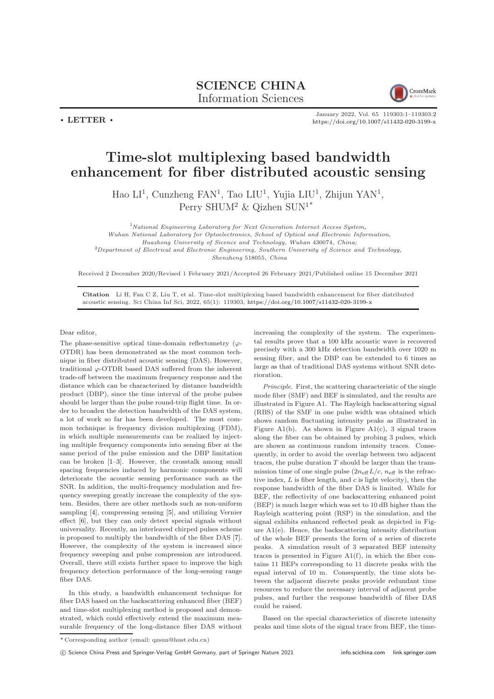## SCIENCE CHINA Information Sciences



 $\cdot$  LETTER  $\cdot$ 

January 2022, Vol. 65 119303:1–119303[:2](#page-1-0) <https://doi.org/10.1007/s11432-020-3199-x>

## Time-slot multiplexing based bandwidth enhancement for fiber distributed acoustic sensing

Hao LI<sup>1</sup>, Cunzheng FAN<sup>1</sup>, Tao LIU<sup>1</sup>, Yujia LIU<sup>1</sup>, Zhijun YAN<sup>1</sup>, Perry SHUM<sup>2</sup> & Qizhen SUN<sup>1\*</sup>

<sup>1</sup>National Engineering Laboratory for Next Generation Internet Access System,

Wuhan National Laboratory for Optoelectronics, School of Optical and Electronic Information,

Huazhong University of Sicence and Technology, Wuhan 430074, China;

<sup>2</sup>Department of Electrical and Electronic Engineering, Southern University of Science and Technology, Shenzheng 518055, China

Received 2 December 2020/Revised 1 February 2021/Accepted 26 February 2021/Published online 15 December 2021

Citation Li H, Fan C Z, Liu T, et al. Time-slot multiplexing based bandwidth enhancement for fiber distributed acoustic sensing. Sci China Inf Sci, 2022, 65(1): 119303, <https://doi.org/10.1007/s11432-020-3199-x>

Dear editor,

The phase-sensitive optical time-domain reflectometry  $(\varphi -$ OTDR) has been demonstrated as the most common technique in fiber distributed acoustic sensing (DAS). However, traditional  $\varphi$ -OTDR based DAS suffered from the inherent trade-off between the maximum frequency response and the distance which can be characterized by distance bandwidth product (DBP), since the time interval of the probe pulses should be larger than the pulse round-trip flight time. In order to broaden the detection bandwidth of the DAS system, a lot of work so far has been developed. The most common technique is frequency division multiplexing (FDM), in which multiple measurements can be realized by injecting multiple frequency components into sensing fiber at the same period of the pulse emission and the DBP limitation can be broken [\[1](#page-1-1)[–3\]](#page-1-2). However, the crosstalk among small spacing frequencies induced by harmonic components will deteriorate the acoustic sensing performance such as the SNR. In addition, the multi-frequency modulation and frequency sweeping greatly increase the complexity of the system. Besides, there are other methods such as non-uniform sampling [\[4\]](#page-1-3), compressing sensing [\[5\]](#page-1-4), and utilizing Vernier effect [\[6\]](#page-1-5), but they can only detect special signals without universality. Recently, an interleaved chirped pulses scheme is proposed to multiply the bandwidth of the fiber DAS [\[7\]](#page-1-6). However, the complexity of the system is increased since frequency sweeping and pulse compression are introduced. Overall, there still exists further space to improve the high frequency detection performance of the long-sensing range fiber DAS.

In this study, a bandwidth enhancement technique for fiber DAS based on the backscattering enhanced fiber (BEF) and time-slot multiplexing method is proposed and demonstrated, which could effectively extend the maximum measurable frequency of the long-distance fiber DAS without increasing the complexity of the system. The experimental results prove that a 100 kHz acoustic wave is recovered precisely with a 300 kHz detection bandwidth over 1020 m sensing fiber, and the DBP can be extended to 6 times as large as that of traditional DAS systems without SNR deterioration.

Principle. First, the scattering characteristic of the single mode fiber (SMF) and BEF is simulated, and the results are illustrated in Figure A1. The Rayleigh backscattering signal (RBS) of the SMF in one pulse width was obtained which shows random fluctuating intensity peaks as illustrated in Figure A1(b). As shown in Figure A1(c), 3 signal traces along the fiber can be obtained by probing 3 pulses, which are shown as continuous random intensity traces. Consequently, in order to avoid the overlap between two adjacent traces, the pulse duration  $T$  should be larger than the transmission time of one single pulse  $(2n_{\text{eff}} L/c, n_{\text{eff}}$  is the refractive index,  $L$  is fiber length, and  $c$  is light velocity), then the response bandwidth of the fiber DAS is limited. While for BEF, the reflectivity of one backscattering enhanced point (BEP) is much larger which was set to 10 dB higher than the Rayleigh scattering point (RSP) in the simulation, and the signal exhibits enhanced reflected peak as depicted in Figure A1(e). Hence, the backscattering intensity distribution of the whole BEF presents the form of a series of discrete peaks. A simulation result of 3 separated BEF intensity traces is presented in Figure  $A1(f)$ , in which the fiber contains 11 BEPs corresponding to 11 discrete peaks with the equal interval of 10 m. Consequently, the time slots between the adjacent discrete peaks provide redundant time resources to reduce the necessary interval of adjacent probe pulses, and further the response bandwidth of fiber DAS could be raised.

Based on the special characteristics of discrete intensity peaks and time slots of the signal trace from BEF, the time-

c Science China Press and Springer-Verlag GmbH Germany, part of Springer Nature 2021 <info.scichina.com><link.springer.com>

<sup>\*</sup> Corresponding author (email: qzsun@hust.edu.cn)